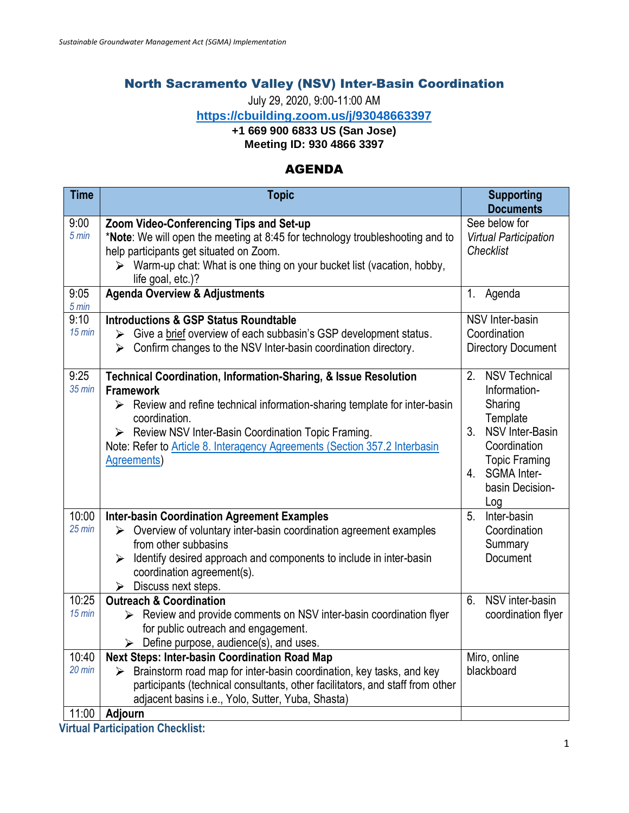## North Sacramento Valley (NSV) Inter-Basin Coordination

July 29, 2020, 9:00-11:00 AM

**<https://cbuilding.zoom.us/j/93048663397>**

## **+1 669 900 6833 US (San Jose)**

**Meeting ID: 930 4866 3397**

## AGENDA

| <b>Time</b>               | <b>Topic</b>                                                                                                                                                                                                                                                                                                                                                 | <b>Supporting</b><br><b>Documents</b>                                                                                                                                                   |
|---------------------------|--------------------------------------------------------------------------------------------------------------------------------------------------------------------------------------------------------------------------------------------------------------------------------------------------------------------------------------------------------------|-----------------------------------------------------------------------------------------------------------------------------------------------------------------------------------------|
| 9:00<br>$5 \text{ min}$   | Zoom Video-Conferencing Tips and Set-up<br>*Note: We will open the meeting at 8:45 for technology troubleshooting and to<br>help participants get situated on Zoom.<br>> Warm-up chat: What is one thing on your bucket list (vacation, hobby,<br>life goal, etc.)?                                                                                          | See below for<br><b>Virtual Participation</b><br>Checklist                                                                                                                              |
| 9:05<br>$5 \text{ min}$   | <b>Agenda Overview &amp; Adjustments</b>                                                                                                                                                                                                                                                                                                                     | Agenda<br>1.                                                                                                                                                                            |
| 9:10<br>$15$ min          | <b>Introductions &amp; GSP Status Roundtable</b><br>Give a brief overview of each subbasin's GSP development status.<br>➤<br>Confirm changes to the NSV Inter-basin coordination directory.<br>➤                                                                                                                                                             | NSV Inter-basin<br>Coordination<br><b>Directory Document</b>                                                                                                                            |
| 9:25<br>$35$ min          | Technical Coordination, Information-Sharing, & Issue Resolution<br><b>Framework</b><br>$\triangleright$ Review and refine technical information-sharing template for inter-basin<br>coordination.<br>> Review NSV Inter-Basin Coordination Topic Framing.<br>Note: Refer to Article 8. Interagency Agreements (Section 357.2 Interbasin<br><b>Agreements</b> | <b>NSV Technical</b><br>2 <sub>1</sub><br>Information-<br>Sharing<br>Template<br>3. NSV Inter-Basin<br>Coordination<br><b>Topic Framing</b><br>4. SGMA Inter-<br>basin Decision-<br>Log |
| 10:00<br>$25 \text{ min}$ | <b>Inter-basin Coordination Agreement Examples</b><br>$\triangleright$ Overview of voluntary inter-basin coordination agreement examples<br>from other subbasins<br>Identify desired approach and components to include in inter-basin<br>➤<br>coordination agreement(s).<br>Discuss next steps.<br>➤                                                        | Inter-basin<br>5.<br>Coordination<br>Summary<br>Document                                                                                                                                |
| 10:25<br>$15$ min         | <b>Outreach &amp; Coordination</b><br>Review and provide comments on NSV inter-basin coordination flyer<br>for public outreach and engagement.<br>$\triangleright$ Define purpose, audience(s), and uses.                                                                                                                                                    | NSV inter-basin<br>6.<br>coordination flyer                                                                                                                                             |
| 10:40<br>$20$ min         | <b>Next Steps: Inter-basin Coordination Road Map</b><br>Brainstorm road map for inter-basin coordination, key tasks, and key<br>➤<br>participants (technical consultants, other facilitators, and staff from other<br>adjacent basins i.e., Yolo, Sutter, Yuba, Shasta)                                                                                      | Miro, online<br>blackboard                                                                                                                                                              |
| 11:00                     | Adjourn                                                                                                                                                                                                                                                                                                                                                      |                                                                                                                                                                                         |

**Virtual Participation Checklist:**